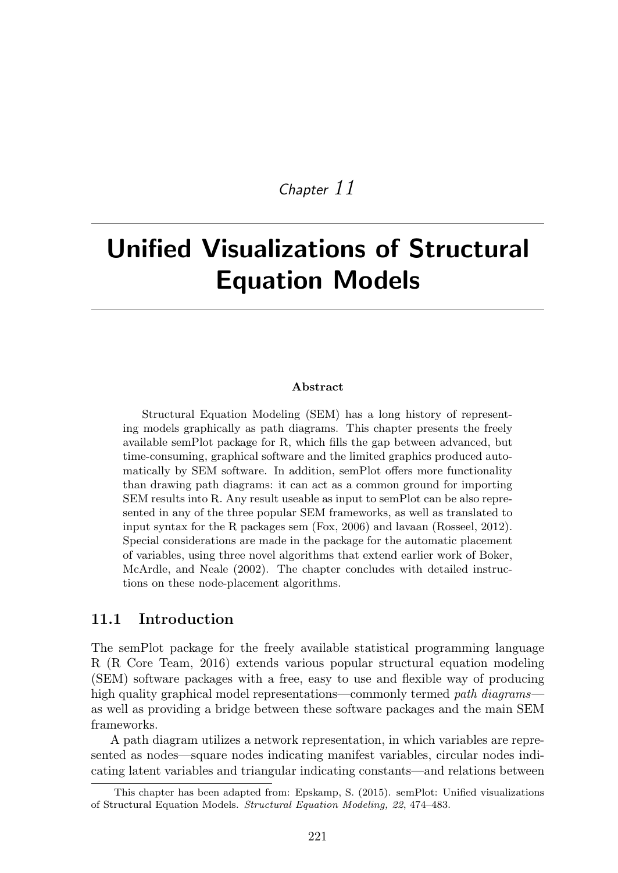## *Chapter 11*

# Unified Visualizations of Structural Equation Models

#### Abstract

Structural Equation Modeling (SEM) has a long history of representing models graphically as path diagrams. This chapter presents the freely available semPlot package for R, which fills the gap between advanced, but time-consuming, graphical software and the limited graphics produced automatically by SEM software. In addition, semPlot offers more functionality than drawing path diagrams: it can act as a common ground for importing SEM results into R. Any result useable as input to semPlot can be also represented in any of the three popular SEM frameworks, as well as translated to input syntax for the R packages sem (Fox, 2006) and lavaan (Rosseel, 2012). Special considerations are made in the package for the automatic placement of variables, using three novel algorithms that extend earlier work of Boker, McArdle, and Neale (2002). The chapter concludes with detailed instructions on these node-placement algorithms.

#### 11.1 Introduction

The semPlot package for the freely available statistical programming language R (R Core Team, 2016) extends various popular structural equation modeling (SEM) software packages with a free, easy to use and flexible way of producing high quality graphical model representations—commonly termed *path diagrams* as well as providing a bridge between these software packages and the main SEM frameworks.

A path diagram utilizes a network representation, in which variables are represented as nodes—square nodes indicating manifest variables, circular nodes indicating latent variables and triangular indicating constants—and relations between

This chapter has been adapted from: Epskamp, S. (2015). semPlot: Unified visualizations of Structural Equation Models. *Structural Equation Modeling, 22*, 474–483.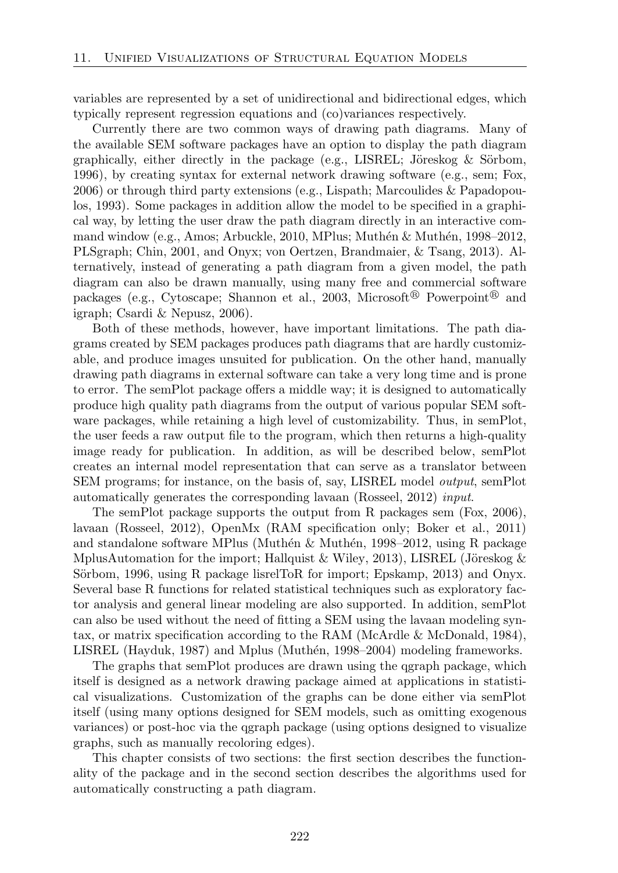variables are represented by a set of unidirectional and bidirectional edges, which typically represent regression equations and (co)variances respectively.

Currently there are two common ways of drawing path diagrams. Many of the available SEM software packages have an option to display the path diagram graphically, either directly in the package (e.g., LISREL; Jöreskog  $&$  Sörbom, 1996), by creating syntax for external network drawing software (e.g., sem; Fox, 2006) or through third party extensions (e.g., Lispath; Marcoulides & Papadopoulos, 1993). Some packages in addition allow the model to be specified in a graphical way, by letting the user draw the path diagram directly in an interactive command window (e.g., Amos; Arbuckle, 2010, MPlus; Muthén & Muthén, 1998–2012, PLSgraph; Chin, 2001, and Onyx; von Oertzen, Brandmaier, & Tsang, 2013). Alternatively, instead of generating a path diagram from a given model, the path diagram can also be drawn manually, using many free and commercial software packages (e.g., Cytoscape; Shannon et al., 2003, Microsoft<sup>®</sup> Powerpoint<sup>®</sup> and igraph; Csardi & Nepusz, 2006).

Both of these methods, however, have important limitations. The path diagrams created by SEM packages produces path diagrams that are hardly customizable, and produce images unsuited for publication. On the other hand, manually drawing path diagrams in external software can take a very long time and is prone to error. The semPlot package offers a middle way; it is designed to automatically produce high quality path diagrams from the output of various popular SEM software packages, while retaining a high level of customizability. Thus, in semPlot, the user feeds a raw output file to the program, which then returns a high-quality image ready for publication. In addition, as will be described below, semPlot creates an internal model representation that can serve as a translator between SEM programs; for instance, on the basis of, say, LISREL model *output*, semPlot automatically generates the corresponding lavaan (Rosseel, 2012) *input*.

The semPlot package supports the output from R packages sem (Fox, 2006), lavaan (Rosseel, 2012), OpenMx (RAM specification only; Boker et al., 2011) and standalone software MPlus (Muthén  $\&$  Muthén, 1998–2012, using R package MplusAutomation for the import; Hallquist & Wiley, 2013), LISREL (Jöreskog & Sörbom, 1996, using R package lisrelToR for import; Epskamp, 2013) and Onyx. Several base R functions for related statistical techniques such as exploratory factor analysis and general linear modeling are also supported. In addition, semPlot can also be used without the need of fitting a SEM using the lavaan modeling syntax, or matrix specification according to the RAM (McArdle & McDonald, 1984), LISREL (Hayduk, 1987) and Mplus (Muthén, 1998–2004) modeling frameworks.

The graphs that semPlot produces are drawn using the qgraph package, which itself is designed as a network drawing package aimed at applications in statistical visualizations. Customization of the graphs can be done either via semPlot itself (using many options designed for SEM models, such as omitting exogenous variances) or post-hoc via the qgraph package (using options designed to visualize graphs, such as manually recoloring edges).

This chapter consists of two sections: the first section describes the functionality of the package and in the second section describes the algorithms used for automatically constructing a path diagram.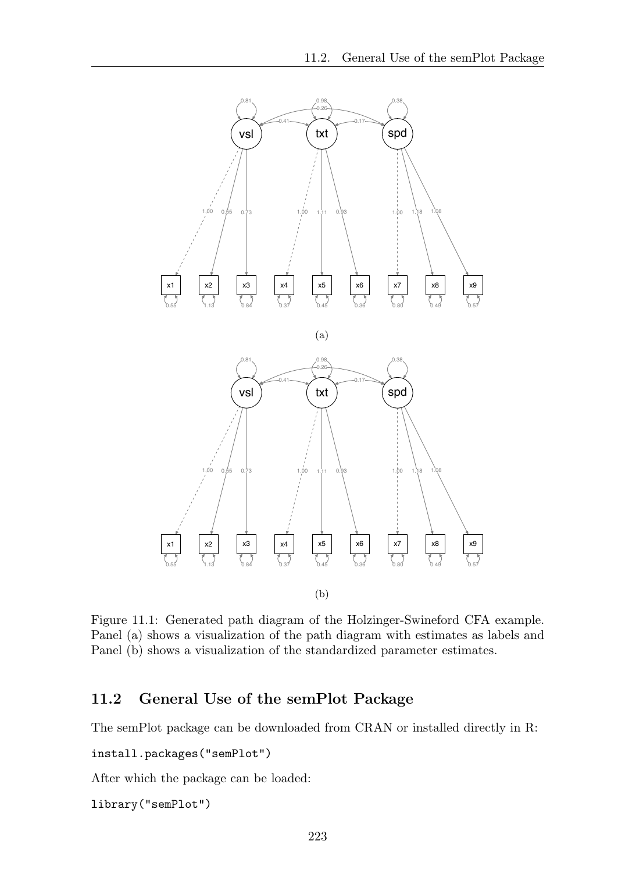

Figure 11.1: Generated path diagram of the Holzinger-Swineford CFA example. Panel (a) shows a visualization of the path diagram with estimates as labels and Panel (b) shows a visualization of the standardized parameter estimates.

### 11.2 General Use of the semPlot Package

The semPlot package can be downloaded from CRAN or installed directly in R:

```
install.packages("semPlot")
```
After which the package can be loaded:

library("semPlot")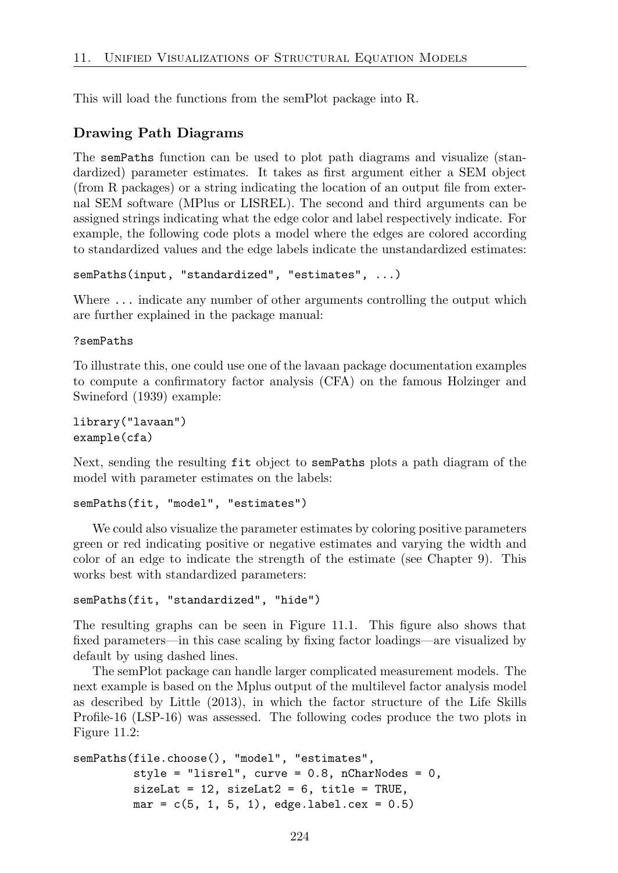This will load the functions from the semPlot package into R.

#### Drawing Path Diagrams

The semPaths function can be used to plot path diagrams and visualize (standardized) parameter estimates. It takes as first argument either a SEM object (from R packages) or a string indicating the location of an output file from external SEM software (MPlus or LISREL). The second and third arguments can be assigned strings indicating what the edge color and label respectively indicate. For example, the following code plots a model where the edges are colored according to standardized values and the edge labels indicate the unstandardized estimates:

semPaths(input, "standardized", "estimates", ...)

Where  $\dots$  indicate any number of other arguments controlling the output which are further explained in the package manual:

?semPaths

To illustrate this, one could use one of the lavaan package documentation examples to compute a confirmatory factor analysis (CFA) on the famous Holzinger and Swineford (1939) example:

```
library("lavaan")
example(cfa)
```
Next, sending the resulting fit object to semPaths plots a path diagram of the model with parameter estimates on the labels:

```
semPaths(fit, "model", "estimates")
```
We could also visualize the parameter estimates by coloring positive parameters green or red indicating positive or negative estimates and varying the width and color of an edge to indicate the strength of the estimate (see Chapter 9). This works best with standardized parameters:

```
semPaths(fit, "standardized", "hide")
```
The resulting graphs can be seen in Figure 11.1. This figure also shows that fixed parameters—in this case scaling by fixing factor loadings—are visualized by default by using dashed lines.

The semPlot package can handle larger complicated measurement models. The next example is based on the Mplus output of the multilevel factor analysis model as described by Little (2013), in which the factor structure of the Life Skills Profile-16 (LSP-16) was assessed. The following codes produce the two plots in Figure 11.2:

```
semPaths(file.choose(), "model", "estimates",
         style = "lisrel", curve = 0.8, nCharNodes = 0,
         sizeLat = 12, sizeLat = 6, title = TRUE,
         mar = c(5, 1, 5, 1), edge. label. cex = 0.5)
```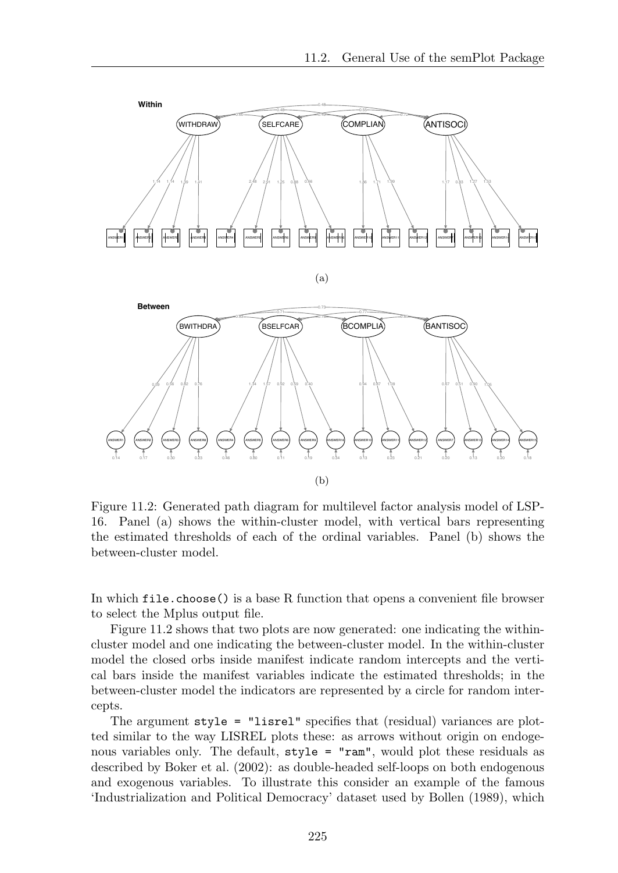

Figure 11.2: Generated path diagram for multilevel factor analysis model of LSP-16. Panel (a) shows the within-cluster model, with vertical bars representing the estimated thresholds of each of the ordinal variables. Panel (b) shows the between-cluster model.

In which  $file.close()$  is a base R function that opens a convenient file browser to select the Mplus output file.

Figure 11.2 shows that two plots are now generated: one indicating the withincluster model and one indicating the between-cluster model. In the within-cluster model the closed orbs inside manifest indicate random intercepts and the vertical bars inside the manifest variables indicate the estimated thresholds; in the between-cluster model the indicators are represented by a circle for random intercepts.

The argument style = "lisrel" specifies that (residual) variances are plotted similar to the way LISREL plots these: as arrows without origin on endogenous variables only. The default, style = "ram", would plot these residuals as described by Boker et al. (2002): as double-headed self-loops on both endogenous and exogenous variables. To illustrate this consider an example of the famous 'Industrialization and Political Democracy' dataset used by Bollen (1989), which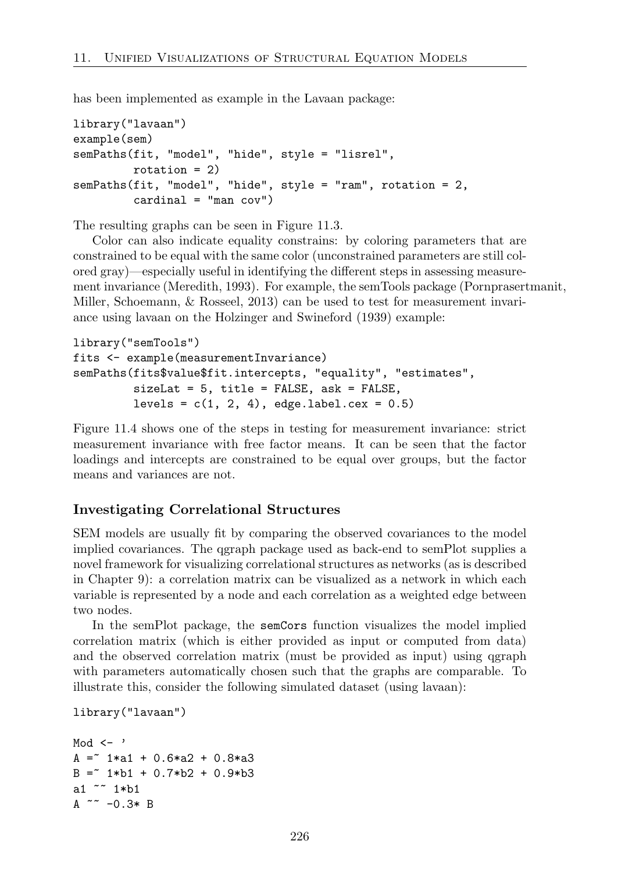has been implemented as example in the Lavaan package:

```
library("lavaan")
example(sem)
semPaths(fit, "model", "hide", style = "lisrel",
         rotation = 2)semPaths(fit, "model", "hide", style = "ram", rotation = 2,
         cardinal = "man cov")
```
The resulting graphs can be seen in Figure 11.3.

Color can also indicate equality constrains: by coloring parameters that are constrained to be equal with the same color (unconstrained parameters are still colored gray)—especially useful in identifying the different steps in assessing measurement invariance (Meredith, 1993). For example, the semTools package (Pornprasertmanit, Miller, Schoemann, & Rosseel, 2013) can be used to test for measurement invariance using lavaan on the Holzinger and Swineford (1939) example:

```
library("semTools")
fits <- example(measurementInvariance)
semPaths(fits$value$fit.intercepts, "equality", "estimates",
         sizeLat = 5, title = FALSE, ask = FALSE,
         levels = c(1, 2, 4), edge.label.cex = 0.5)
```
Figure 11.4 shows one of the steps in testing for measurement invariance: strict measurement invariance with free factor means. It can be seen that the factor loadings and intercepts are constrained to be equal over groups, but the factor means and variances are not.

#### Investigating Correlational Structures

SEM models are usually fit by comparing the observed covariances to the model implied covariances. The qgraph package used as back-end to semPlot supplies a novel framework for visualizing correlational structures as networks (as is described in Chapter 9): a correlation matrix can be visualized as a network in which each variable is represented by a node and each correlation as a weighted edge between two nodes.

In the semPlot package, the semCors function visualizes the model implied correlation matrix (which is either provided as input or computed from data) and the observed correlation matrix (must be provided as input) using qgraph with parameters automatically chosen such that the graphs are comparable. To illustrate this, consider the following simulated dataset (using lavaan):

```
library("lavaan")
```

```
Mod \leftarrow '
A = 1*a1 + 0.6*a2 + 0.8*a3B = 1 * b1 + 0.7 * b2 + 0.9 * b3a1 ~~ 1*b1
A \sim -0.3* B
```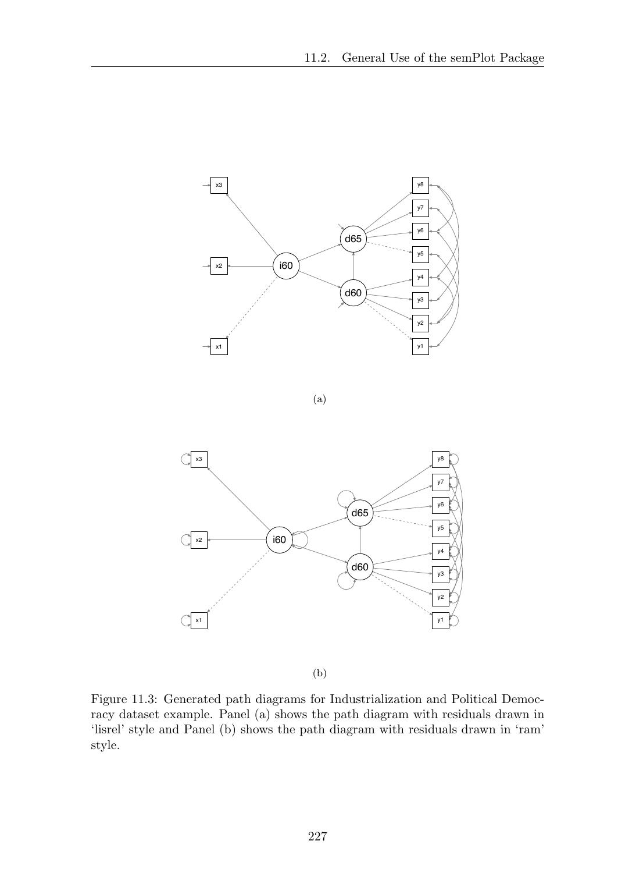

(a)



(b)

Figure 11.3: Generated path diagrams for Industrialization and Political Democracy dataset example. Panel (a) shows the path diagram with residuals drawn in 'lisrel' style and Panel (b) shows the path diagram with residuals drawn in 'ram' style.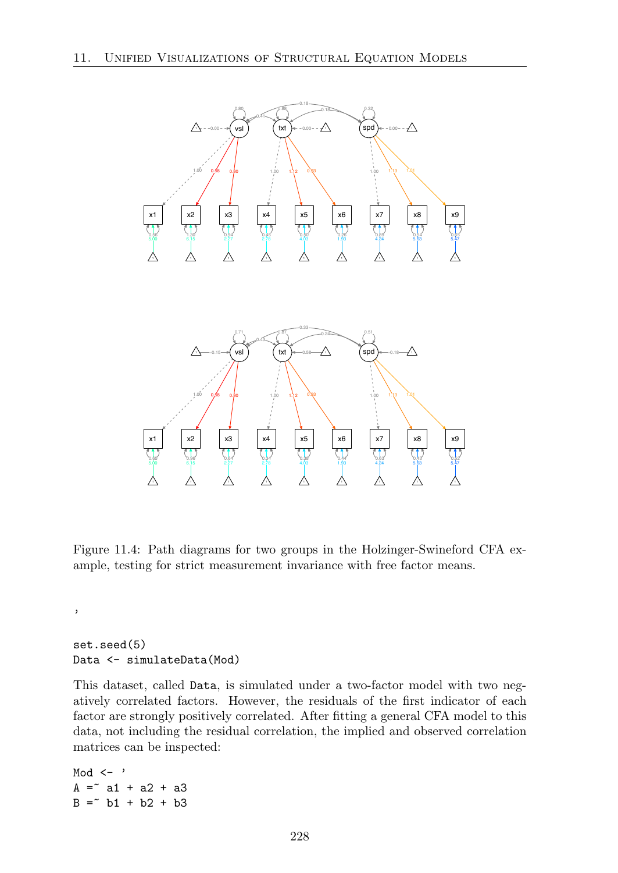

Figure 11.4: Path diagrams for two groups in the Holzinger-Swineford CFA example, testing for strict measurement invariance with free factor means.

set.seed(5) Data <- simulateData(Mod)

 $\,$ 

This dataset, called Data, is simulated under a two-factor model with two negatively correlated factors. However, the residuals of the first indicator of each factor are strongly positively correlated. After fitting a general CFA model to this data, not including the residual correlation, the implied and observed correlation matrices can be inspected:

Mod  $\leftarrow$  '  $A = a + a2 + a3$  $B =^{\sim} b1 + b2 + b3$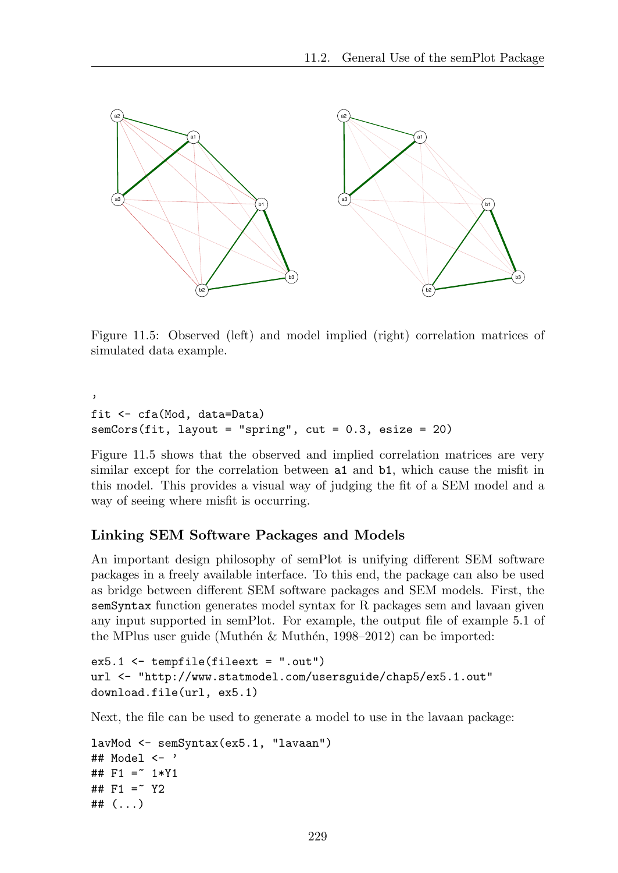

Figure 11.5: Observed (left) and model implied (right) correlation matrices of simulated data example.

```
'
fit <- cfa(Mod, data=Data)
semCors(fit, layout = "spring", cut = 0.3, esize = 20)
```
Figure 11.5 shows that the observed and implied correlation matrices are very similar except for the correlation between a1 and b1, which cause the misfit in this model. This provides a visual way of judging the fit of a SEM model and a way of seeing where misfit is occurring.

#### Linking SEM Software Packages and Models

An important design philosophy of semPlot is unifying different SEM software packages in a freely available interface. To this end, the package can also be used as bridge between different SEM software packages and SEM models. First, the semSyntax function generates model syntax for R packages sem and lavaan given any input supported in semPlot. For example, the output file of example 5.1 of the MPlus user guide (Muthén & Muthén, 1998–2012) can be imported:

```
ex5.1 <- tempfile(fileext = ".out")
url <- "http://www.statmodel.com/usersguide/chap5/ex5.1.out"
download.file(url, ex5.1)
```
Next, the file can be used to generate a model to use in the lavaan package:

```
lavMod <- semSyntax(ex5.1, "lavaan")
## Model <- '
## F1 =~ 1*Y1
## F1 = 7 Y2
## (...)
```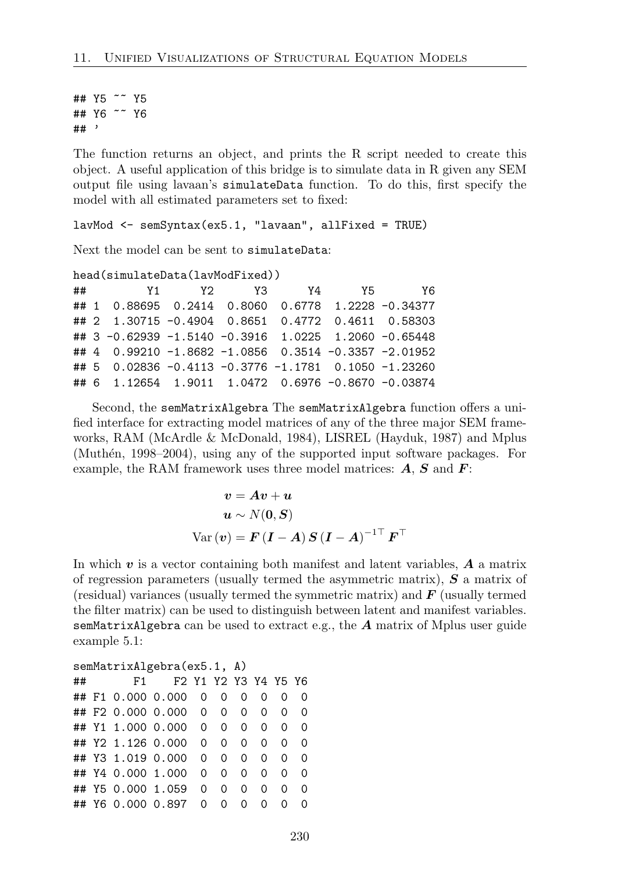## Y5 ~~ Y5 ## Y6 ~~ Y6 ## '

The function returns an object, and prints the R script needed to create this object. A useful application of this bridge is to simulate data in R given any SEM output file using lavaan's simulateData function. To do this, first specify the model with all estimated parameters set to fixed:

lavMod <- semSyntax(ex5.1, "lavaan", allFixed = TRUE)

Next the model can be sent to simulateData:

```
head(simulateData(lavModFixed))
```

| ## |                                                      |  | Y1 Y2 Y3 Y4 Y5 | Y6 |
|----|------------------------------------------------------|--|----------------|----|
|    | ## 1 0.88695 0.2414 0.8060 0.6778 1.2228 -0.34377    |  |                |    |
|    | ## 2 1.30715 -0.4904 0.8651 0.4772 0.4611 0.58303    |  |                |    |
|    | ## 3 -0.62939 -1.5140 -0.3916 1.0225 1.2060 -0.65448 |  |                |    |
|    | ## 4 0.99210 -1.8682 -1.0856 0.3514 -0.3357 -2.01952 |  |                |    |
|    | ## 5 0.02836 -0.4113 -0.3776 -1.1781 0.1050 -1.23260 |  |                |    |
|    | ## 6 1.12654 1.9011 1.0472 0.6976 -0.8670 -0.03874   |  |                |    |

Second, the semMatrixAlgebra The semMatrixAlgebra function offers a unified interface for extracting model matrices of any of the three major SEM frameworks, RAM (McArdle & McDonald, 1984), LISREL (Hayduk, 1987) and Mplus (Muthén, 1998–2004), using any of the supported input software packages. For example, the RAM framework uses three model matrices: *A*, *S* and *F*:

$$
v = Av + u
$$
  
 
$$
u \sim N(0, S)
$$
  
 
$$
Var(v) = F (I - A) S (I - A)^{-1\top} F^{\top}
$$

In which *v* is a vector containing both manifest and latent variables, *A* a matrix of regression parameters (usually termed the asymmetric matrix), *S* a matrix of (residual) variances (usually termed the symmetric matrix) and *F* (usually termed the filter matrix) can be used to distinguish between latent and manifest variables. semMatrixAlgebra can be used to extract e.g., the *A* matrix of Mplus user guide example 5.1:

| semMatrixAlgebra(ex5.1, A) |  |  |                          |          |          |          |                |          |          |  |  |  |
|----------------------------|--|--|--------------------------|----------|----------|----------|----------------|----------|----------|--|--|--|
| ##                         |  |  | F1 F2 Y1 Y2 Y3 Y4 Y5 Y6  |          |          |          |                |          |          |  |  |  |
|                            |  |  | ##F1 0.000 0.000 0 0 0 0 |          |          |          |                | $\Omega$ | $\Omega$ |  |  |  |
|                            |  |  | ##F2 0.000 0.000 0 0 0 0 |          |          |          |                | $\Omega$ | $\Omega$ |  |  |  |
|                            |  |  | ## Y1 1.000 0.000 0 0    |          |          | $\Omega$ | $\Omega$       | $\Omega$ | $\Omega$ |  |  |  |
|                            |  |  | ## Y2 1.126 0.000        | $\Omega$ | $\Omega$ | $\Omega$ | $\Omega$       | $\Omega$ | $\Omega$ |  |  |  |
|                            |  |  | ## Y3 1.019 0.000 0      |          | $\Omega$ | $\Omega$ | $\overline{0}$ | $\Omega$ | $\Omega$ |  |  |  |
|                            |  |  | ## Y4 0.000 1.000        | $\Omega$ | $\Omega$ | $\Omega$ | 0              | $\Omega$ | $\Omega$ |  |  |  |
|                            |  |  | ## Y5 0.000 1.059        | $\Omega$ | $\Omega$ | 0        | 0              | $\Omega$ | 0        |  |  |  |
|                            |  |  | ## Y6 0.000 0.897 0      |          | $\circ$  | $\Omega$ | $\Omega$       | $\Omega$ | $\Omega$ |  |  |  |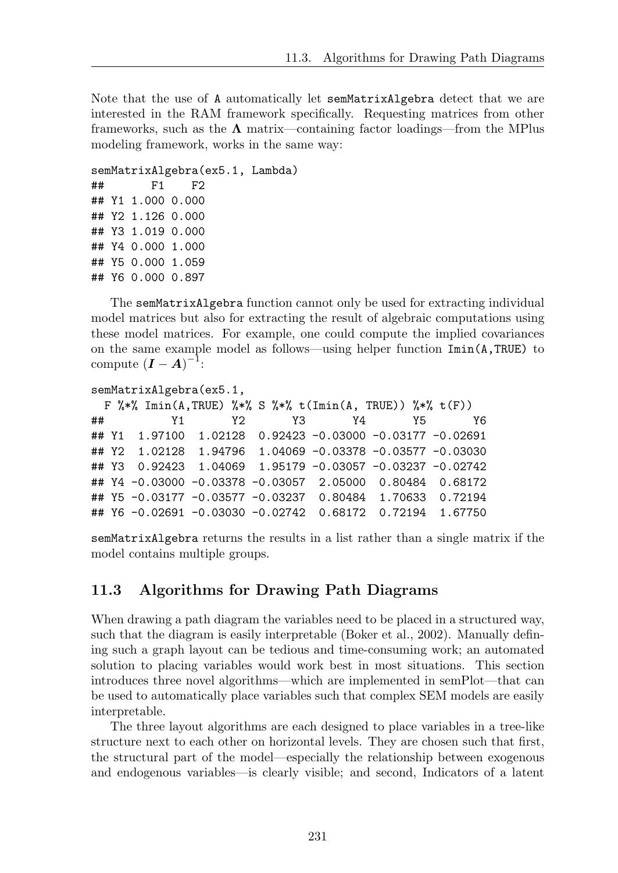Note that the use of A automatically let semMatrixAlgebra detect that we are interested in the RAM framework specifically. Requesting matrices from other frameworks, such as the  $\Lambda$  matrix—containing factor loadings—from the MPlus modeling framework, works in the same way:

```
semMatrixAlgebra(ex5.1, Lambda)
## F1 F2
## Y1 1.000 0.000
## Y2 1.126 0.000
## Y3 1.019 0.000
## Y4 0.000 1.000
## Y5 0.000 1.059
## Y6 0.000 0.897
```
The semMatrixAlgebra function cannot only be used for extracting individual model matrices but also for extracting the result of algebraic computations using these model matrices. For example, one could compute the implied covariances on the same example model as follows—using helper function  $\text{Inin}(A, TRUE)$  to compute  $(I - A)^{-1}$ :

```
semMatrixAlgebra(ex5.1,
 F %*% Imin(A,TRUE) %*% S %*% t(Imin(A, TRUE)) %*% t(F))
## Y1 Y2 Y3 Y4 Y5 Y6
## Y1 1.97100 1.02128 0.92423 -0.03000 -0.03177 -0.02691
## Y2 1.02128 1.94796 1.04069 -0.03378 -0.03577 -0.03030
## Y3 0.92423 1.04069 1.95179 -0.03057 -0.03237 -0.02742
## Y4 -0.03000 -0.03378 -0.03057 2.05000 0.80484 0.68172
## Y5 -0.03177 -0.03577 -0.03237 0.80484 1.70633 0.72194
## Y6 -0.02691 -0.03030 -0.02742 0.68172 0.72194 1.67750
```
semMatrixAlgebra returns the results in a list rather than a single matrix if the model contains multiple groups.

#### 11.3 Algorithms for Drawing Path Diagrams

When drawing a path diagram the variables need to be placed in a structured way, such that the diagram is easily interpretable (Boker et al., 2002). Manually defining such a graph layout can be tedious and time-consuming work; an automated solution to placing variables would work best in most situations. This section introduces three novel algorithms—which are implemented in semPlot—that can be used to automatically place variables such that complex SEM models are easily interpretable.

The three layout algorithms are each designed to place variables in a tree-like structure next to each other on horizontal levels. They are chosen such that first, the structural part of the model—especially the relationship between exogenous and endogenous variables—is clearly visible; and second, Indicators of a latent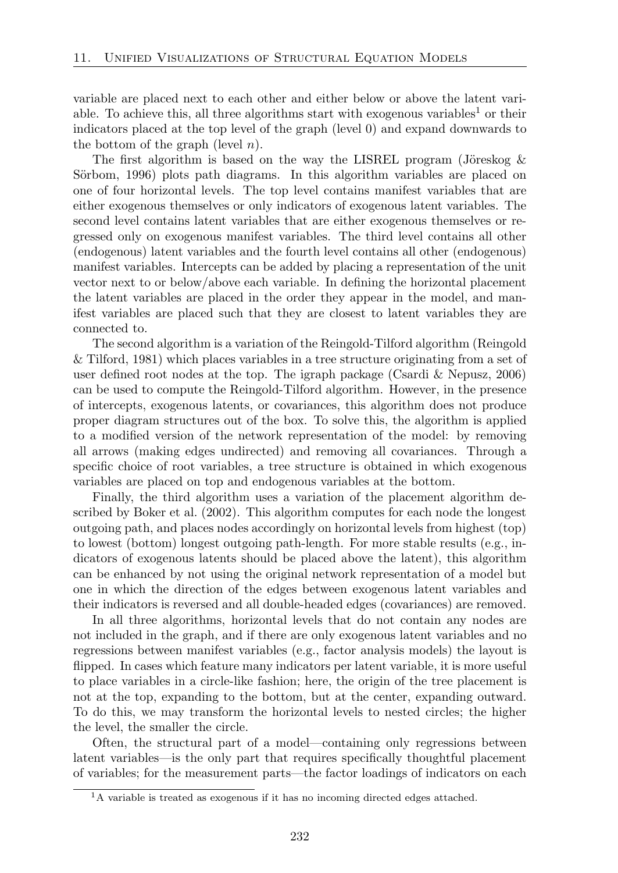variable are placed next to each other and either below or above the latent variable. To achieve this, all three algorithms start with exogenous variables<sup>1</sup> or their indicators placed at the top level of the graph (level 0) and expand downwards to the bottom of the graph (level *n*).

The first algorithm is based on the way the LISREL program (Jöreskog  $\&$ Sörbom, 1996) plots path diagrams. In this algorithm variables are placed on one of four horizontal levels. The top level contains manifest variables that are either exogenous themselves or only indicators of exogenous latent variables. The second level contains latent variables that are either exogenous themselves or regressed only on exogenous manifest variables. The third level contains all other (endogenous) latent variables and the fourth level contains all other (endogenous) manifest variables. Intercepts can be added by placing a representation of the unit vector next to or below/above each variable. In defining the horizontal placement the latent variables are placed in the order they appear in the model, and manifest variables are placed such that they are closest to latent variables they are connected to.

The second algorithm is a variation of the Reingold-Tilford algorithm (Reingold & Tilford, 1981) which places variables in a tree structure originating from a set of user defined root nodes at the top. The igraph package (Csardi & Nepusz, 2006) can be used to compute the Reingold-Tilford algorithm. However, in the presence of intercepts, exogenous latents, or covariances, this algorithm does not produce proper diagram structures out of the box. To solve this, the algorithm is applied to a modified version of the network representation of the model: by removing all arrows (making edges undirected) and removing all covariances. Through a specific choice of root variables, a tree structure is obtained in which exogenous variables are placed on top and endogenous variables at the bottom.

Finally, the third algorithm uses a variation of the placement algorithm described by Boker et al. (2002). This algorithm computes for each node the longest outgoing path, and places nodes accordingly on horizontal levels from highest (top) to lowest (bottom) longest outgoing path-length. For more stable results (e.g., indicators of exogenous latents should be placed above the latent), this algorithm can be enhanced by not using the original network representation of a model but one in which the direction of the edges between exogenous latent variables and their indicators is reversed and all double-headed edges (covariances) are removed.

In all three algorithms, horizontal levels that do not contain any nodes are not included in the graph, and if there are only exogenous latent variables and no regressions between manifest variables (e.g., factor analysis models) the layout is flipped. In cases which feature many indicators per latent variable, it is more useful to place variables in a circle-like fashion; here, the origin of the tree placement is not at the top, expanding to the bottom, but at the center, expanding outward. To do this, we may transform the horizontal levels to nested circles; the higher the level, the smaller the circle.

Often, the structural part of a model—containing only regressions between latent variables—is the only part that requires specifically thoughtful placement of variables; for the measurement parts—the factor loadings of indicators on each

<sup>1</sup>A variable is treated as exogenous if it has no incoming directed edges attached.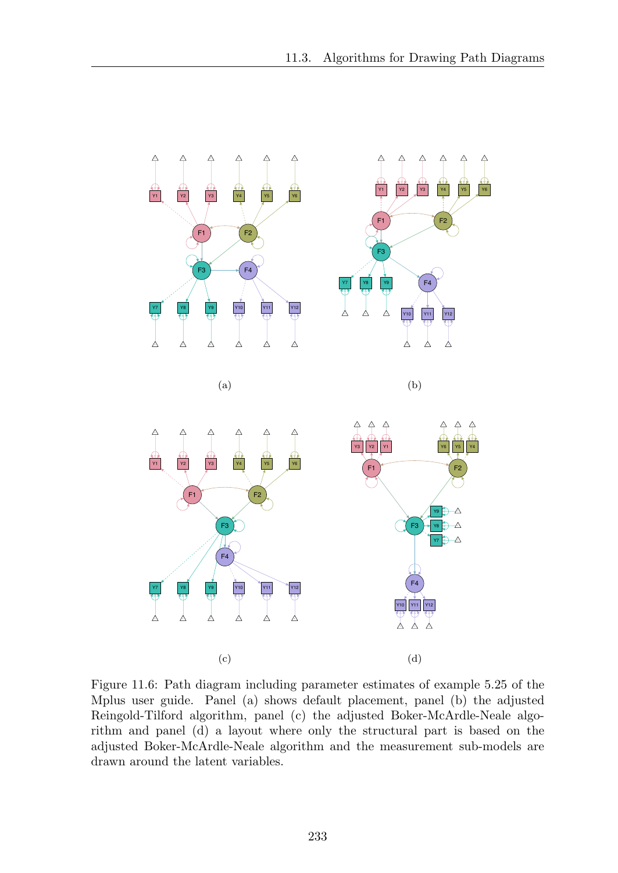

Figure 11.6: Path diagram including parameter estimates of example 5.25 of the Mplus user guide. Panel (a) shows default placement, panel (b) the adjusted Reingold-Tilford algorithm, panel (c) the adjusted Boker-McArdle-Neale algorithm and panel (d) a layout where only the structural part is based on the adjusted Boker-McArdle-Neale algorithm and the measurement sub-models are drawn around the latent variables.